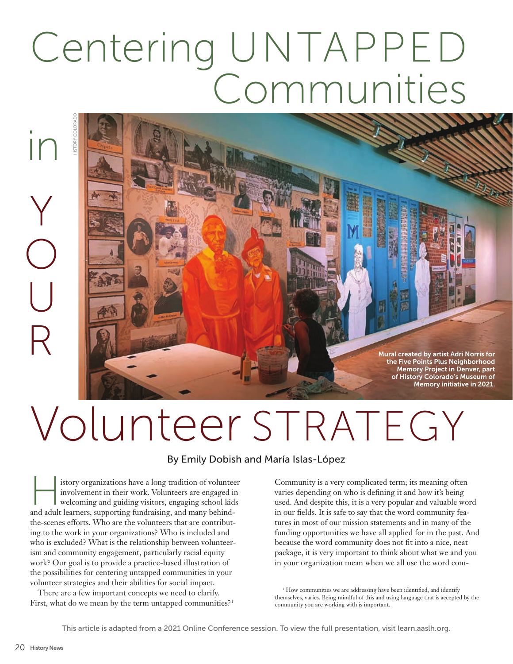## Centering UNTAPPED Communities

## in

Mural created by artist Adri Norris for the Five Points Plus Neighborhood Memory Project in Denver, part of History Colorado's Museum of Memory initiative in 2021.

## Volunteer STRATEGY

## By Emily Dobish and María Islas-López

istory organizations have a long tradition of volunteer<br>
involvement in their work. Volunteers are engaged in<br>
welcoming and guiding visitors, engaging school kids<br>
and adult learners supporting fundraising and many behind involvement in their work. Volunteers are engaged in and adult learners, supporting fundraising, and many behindthe-scenes efforts. Who are the volunteers that are contributing to the work in your organizations? Who is included and who is excluded? What is the relationship between volunteerism and community engagement, particularly racial equity work? Our goal is to provide a practice-based illustration of the possibilities for centering untapped communities in your volunteer strategies and their abilities for social impact. First, what do we mean by the term untapped communities?<br>
First, what do we mean by the term untapped communities?<br>
First, what do we mean by the term untapped communities?<br>
First, what do we mean by the term untapped comm

There are a few important concepts we need to clarify.

Community is a very complicated term; its meaning often varies depending on who is defining it and how it's being used. And despite this, it is a very popular and valuable word in our fields. It is safe to say that the word community features in most of our mission statements and in many of the funding opportunities we have all applied for in the past. And because the word community does not fit into a nice, neat package, it is very important to think about what we and you in your organization mean when we all use the word com-

<sup>1</sup> How communities we are addressing have been identified, and identify themselves, varies. Being mindful of this and using language that is accepted by the community you are working with is important.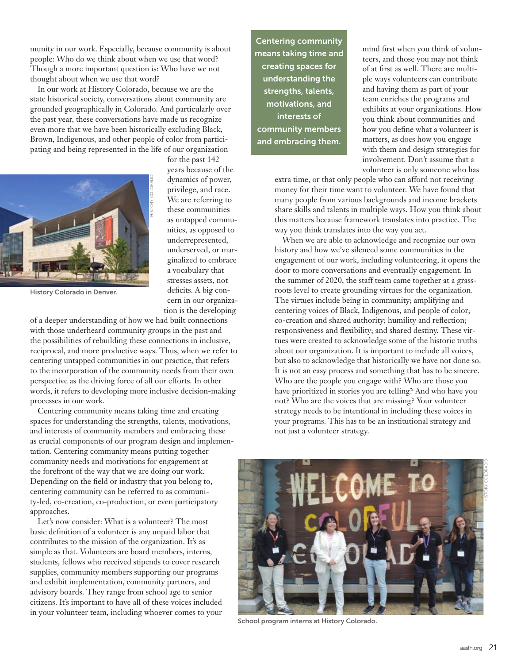munity in our work. Especially, because community is about people: Who do we think about when we use that word? Though a more important question is: Who have we not thought about when we use that word?

In our work at History Colorado, because we are the state historical society, conversations about community are grounded geographically in Colorado. And particularly over the past year, these conversations have made us recognize even more that we have been historically excluding Black, Brown, Indigenous, and other people of color from participating and being represented in the life of our organization



for the past 142 years because of the dynamics of power, privilege, and race. We are referring to these communities as untapped communities, as opposed to underrepresented, underserved, or marginalized to embrace a vocabulary that stresses assets, not deficits. A big concern in our organization is the developing

History Colorado in Denver.

of a deeper understanding of how we had built connections with those underheard community groups in the past and the possibilities of rebuilding these connections in inclusive, reciprocal, and more productive ways. Thus, when we refer to centering untapped communities in our practice, that refers to the incorporation of the community needs from their own perspective as the driving force of all our efforts. In other words, it refers to developing more inclusive decision-making processes in our work.

Centering community means taking time and creating spaces for understanding the strengths, talents, motivations, and interests of community members and embracing these as crucial components of our program design and implementation. Centering community means putting together community needs and motivations for engagement at the forefront of the way that we are doing our work. Depending on the field or industry that you belong to, centering community can be referred to as community-led, co-creation, co-production, or even participatory approaches. dynamics of power and two sets and the previous of power and two sets communities, as opposed underspectness are comed underspected or the underspected of the secondary that is a secondary to the secondary of a deeper unde

Let's now consider: What is a volunteer? The most basic definition of a volunteer is any unpaid labor that contributes to the mission of the organization. It's as simple as that. Volunteers are board members, interns, students, fellows who received stipends to cover research supplies, community members supporting our programs and exhibit implementation, community partners, and advisory boards. They range from school age to senior citizens. It's important to have all of these voices included

Centering community means taking time and creating spaces for understanding the strengths, talents, motivations, and interests of community members and embracing them.

mind first when you think of volunteers, and those you may not think of at first as well. There are multiple ways volunteers can contribute and having them as part of your team enriches the programs and exhibits at your organizations. How you think about communities and how you define what a volunteer is matters, as does how you engage with them and design strategies for involvement. Don't assume that a volunteer is only someone who has

extra time, or that only people who can afford not receiving money for their time want to volunteer. We have found that many people from various backgrounds and income brackets share skills and talents in multiple ways. How you think about this matters because framework translates into practice. The way you think translates into the way you act.

When we are able to acknowledge and recognize our own history and how we've silenced some communities in the engagement of our work, including volunteering, it opens the door to more conversations and eventually engagement. In the summer of 2020, the staff team came together at a grassroots level to create grounding virtues for the organization. The virtues include being in community; amplifying and centering voices of Black, Indigenous, and people of color; co-creation and shared authority; humility and reflection; responsiveness and flexibility; and shared destiny. These virtues were created to acknowledge some of the historic truths about our organization. It is important to include all voices, but also to acknowledge that historically we have not done so. It is not an easy process and something that has to be sincere. Who are the people you engage with? Who are those you have prioritized in stories you are telling? And who have you not? Who are the voices that are missing? Your volunteer strategy needs to be intentional in including these voices in your programs. This has to be an institutional strategy and not just a volunteer strategy.



School program interns at History Colorado.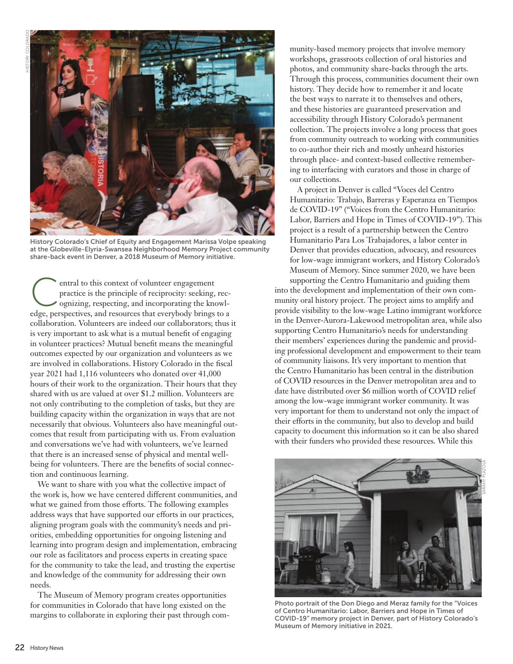

History Colorado's Chief of Equity and Engagement Marissa Volpe speaking at the Globeville-Elyria-Swansea Neighborhood Memory Project community share-back event in Denver, a 2018 Museum of Memory initiative.

entral to this context of volunteer engagement<br>
practice is the principle of reciprocity: seeking, rec-<br>
ognizing, respecting, and incorporating the knowl-<br>
odge perspectives and receives that everybody brings to a practice is the principle of reciprocity: seeking, recedge, perspectives, and resources that everybody brings to a collaboration. Volunteers are indeed our collaborators; thus it is very important to ask what is a mutual benefit of engaging in volunteer practices? Mutual benefit means the meaningful outcomes expected by our organization and volunteers as we are involved in collaborations. History Colorado in the fiscal year 2021 had 1,116 volunteers who donated over 41,000 hours of their work to the organization. Their hours that they shared with us are valued at over \$1.2 million. Volunteers are not only contributing to the completion of tasks, but they are building capacity within the organization in ways that are not necessarily that obvious. Volunteers also have meaningful outcomes that result from participating with us. From evaluation and conversations we've had with volunteers, we've learned that there is an increased sense of physical and mental wellbeing for volunteers. There are the benefits of social connection and continuous learning.

We want to share with you what the collective impact of the work is, how we have centered different communities, and what we gained from those efforts. The following examples address ways that have supported our efforts in our practices, aligning program goals with the community's needs and priorities, embedding opportunities for ongoing listening and learning into program design and implementation, embracing our role as facilitators and process experts in creating space for the community to take the lead, and trusting the expertise and knowledge of the community for addressing their own needs.

The Museum of Memory program creates opportunities for communities in Colorado that have long existed on the margins to collaborate in exploring their past through com-

munity-based memory projects that involve memory workshops, grassroots collection of oral histories and photos, and community share-backs through the arts. Through this process, communities document their own history. They decide how to remember it and locate the best ways to narrate it to themselves and others, and these histories are guaranteed preservation and accessibility through History Colorado's permanent collection. The projects involve a long process that goes from community outreach to working with communities to co-author their rich and mostly unheard histories through place- and context-based collective remembering to interfacing with curators and those in charge of our collections.

A project in Denver is called "Voces del Centro Humanitario: Trabajo, Barreras y Esperanza en Tiempos de COVID-19" ("Voices from the Centro Humanitario: Labor, Barriers and Hope in Times of COVID-19"). This project is a result of a partnership between the Centro Humanitario Para Los Trabajadores, a labor center in Denver that provides education, advocacy, and resources for low-wage immigrant workers, and History Colorado's Museum of Memory. Since summer 2020, we have been

supporting the Centro Humanitario and guiding them into the development and implementation of their own community oral history project. The project aims to amplify and provide visibility to the low-wage Latino immigrant workforce in the Denver-Aurora-Lakewood metropolitan area, while also supporting Centro Humanitario's needs for understanding their members' experiences during the pandemic and providing professional development and empowerment to their team of community liaisons. It's very important to mention that the Centro Humanitario has been central in the distribution of COVID resources in the Denver metropolitan area and to date have distributed over \$6 million worth of COVID relief among the low-wage immigrant worker community. It was very important for them to understand not only the impact of their efforts in the community, but also to develop and build capacity to document this information so it can be also shared with their funders who provided these resources. While this



Photo portrait of the Don Diego and Meraz family for the "Voices of Centro Humanitario: Labor, Barriers and Hope in Times of COVID-19" memory project in Denver, part of History Colorado's Museum of Memory initiative in 2021.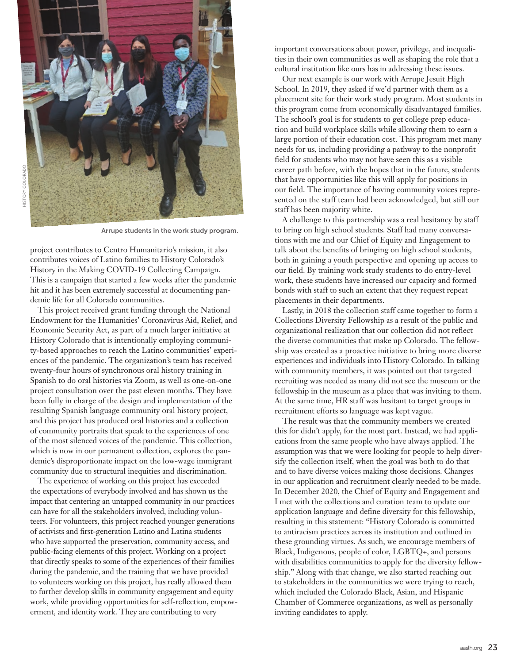

Arrupe students in the work study program.

project contributes to Centro Humanitario's mission, it also contributes voices of Latino families to History Colorado's History in the Making COVID-19 Collecting Campaign. This is a campaign that started a few weeks after the pandemic hit and it has been extremely successful at documenting pandemic life for all Colorado communities.

This project received grant funding through the National Endowment for the Humanities' Coronavirus Aid, Relief, and Economic Security Act, as part of a much larger initiative at History Colorado that is intentionally employing community-based approaches to reach the Latino communities' experiences of the pandemic. The organization's team has received twenty-four hours of synchronous oral history training in Spanish to do oral histories via Zoom, as well as one-on-one project consultation over the past eleven months. They have been fully in charge of the design and implementation of the resulting Spanish language community oral history project, and this project has produced oral histories and a collection of community portraits that speak to the experiences of one of the most silenced voices of the pandemic. This collection, which is now in our permanent collection, explores the pandemic's disproportionate impact on the low-wage immigrant community due to structural inequities and discrimination.

The experience of working on this project has exceeded the expectations of everybody involved and has shown us the impact that centering an untapped community in our practices can have for all the stakeholders involved, including volunteers. For volunteers, this project reached younger generations of activists and first-generation Latino and Latina students who have supported the preservation, community access, and public-facing elements of this project. Working on a project that directly speaks to some of the experiences of their families during the pandemic, and the training that we have provided to volunteers working on this project, has really allowed them to further develop skills in community engagement and equity work, while providing opportunities for self-reflection, empowerment, and identity work. They are contributing to very

important conversations about power, privilege, and inequalities in their own communities as well as shaping the role that a cultural institution like ours has in addressing these issues.

Our next example is our work with Arrupe Jesuit High School. In 2019, they asked if we'd partner with them as a placement site for their work study program. Most students in this program come from economically disadvantaged families. The school's goal is for students to get college prep education and build workplace skills while allowing them to earn a large portion of their education cost. This program met many needs for us, including providing a pathway to the nonprofit field for students who may not have seen this as a visible career path before, with the hopes that in the future, students that have opportunities like this will apply for positions in our field. The importance of having community voices represented on the staff team had been acknowledged, but still our staff has been majority white.

A challenge to this partnership was a real hesitancy by staff to bring on high school students. Staff had many conversations with me and our Chief of Equity and Engagement to talk about the benefits of bringing on high school students, both in gaining a youth perspective and opening up access to our field. By training work study students to do entry-level work, these students have increased our capacity and formed bonds with staff to such an extent that they request repeat placements in their departments.

Lastly, in 2018 the collection staff came together to form a Collections Diversity Fellowship as a result of the public and organizational realization that our collection did not reflect the diverse communities that make up Colorado. The fellowship was created as a proactive initiative to bring more diverse experiences and individuals into History Colorado. In talking with community members, it was pointed out that targeted recruiting was needed as many did not see the museum or the fellowship in the museum as a place that was inviting to them. At the same time, HR staff was hesitant to target groups in recruitment efforts so language was kept vague.

The result was that the community members we created this for didn't apply, for the most part. Instead, we had applications from the same people who have always applied. The assumption was that we were looking for people to help diversify the collection itself, when the goal was both to do that and to have diverse voices making those decisions. Changes in our application and recruitment clearly needed to be made. In December 2020, the Chief of Equity and Engagement and I met with the collections and curation team to update our application language and define diversity for this fellowship, resulting in this statement: "History Colorado is committed to antiracism practices across its institution and outlined in these grounding virtues. As such, we encourage members of Black, Indigenous, people of color, LGBTQ+, and persons with disabilities communities to apply for the diversity fellowship." Along with that change, we also started reaching out to stakeholders in the communities we were trying to reach, which included the Colorado Black, Asian, and Hispanic Chamber of Commerce organizations, as well as personally inviting candidates to apply.